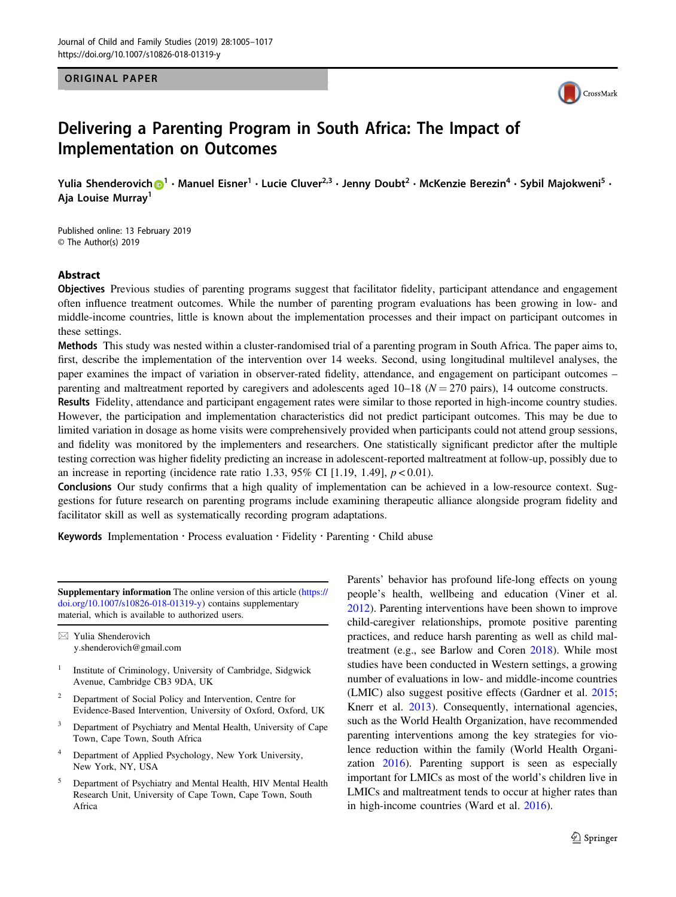### ORIGINAL PAPER



# Delivering a Parenting Program in South Africa: The Impact of Implementation on Outcomes

Yulia Shenderovich D<sup>[1](http://orcid.org/0000-0002-0254-3397)</sup> • Manuel Eisner<sup>1</sup> • Lucie Cluver<sup>2,3</sup> • Jenny Doubt<sup>2</sup> • McKenzie Berezin<sup>4</sup> • Sybil Maiokweni<sup>5</sup> • Aia Louise Murrav<sup>1</sup>

Published online: 13 February 2019 © The Author(s) 2019

### Abstract

Objectives Previous studies of parenting programs suggest that facilitator fidelity, participant attendance and engagement often influence treatment outcomes. While the number of parenting program evaluations has been growing in low- and middle-income countries, little is known about the implementation processes and their impact on participant outcomes in these settings.

Methods This study was nested within a cluster-randomised trial of a parenting program in South Africa. The paper aims to, first, describe the implementation of the intervention over 14 weeks. Second, using longitudinal multilevel analyses, the paper examines the impact of variation in observer-rated fidelity, attendance, and engagement on participant outcomes – parenting and maltreatment reported by caregivers and adolescents aged  $10-18$  ( $N = 270$  pairs), 14 outcome constructs.

Results Fidelity, attendance and participant engagement rates were similar to those reported in high-income country studies. However, the participation and implementation characteristics did not predict participant outcomes. This may be due to limited variation in dosage as home visits were comprehensively provided when participants could not attend group sessions, and fidelity was monitored by the implementers and researchers. One statistically significant predictor after the multiple testing correction was higher fidelity predicting an increase in adolescent-reported maltreatment at follow-up, possibly due to an increase in reporting (incidence rate ratio 1.33, 95% CI [1.19, 1.49],  $p < 0.01$ ).

Conclusions Our study confirms that a high quality of implementation can be achieved in a low-resource context. Suggestions for future research on parenting programs include examining therapeutic alliance alongside program fidelity and facilitator skill as well as systematically recording program adaptations.

Keywords Implementation · Process evaluation · Fidelity · Parenting · Child abuse

Supplementary information The online version of this article ([https://](https://doi.org/10.1007/s10826-018-01319-y) [doi.org/10.1007/s10826-018-01319-y\)](https://doi.org/10.1007/s10826-018-01319-y) contains supplementary material, which is available to authorized users.

 $\boxtimes$  Yulia Shenderovich [y.shenderovich@gmail.com](mailto:y.shenderovich@gmail.com)

- <sup>1</sup> Institute of Criminology, University of Cambridge, Sidgwick Avenue, Cambridge CB3 9DA, UK
- <sup>2</sup> Department of Social Policy and Intervention, Centre for Evidence-Based Intervention, University of Oxford, Oxford, UK
- <sup>3</sup> Department of Psychiatry and Mental Health, University of Cape Town, Cape Town, South Africa
- <sup>4</sup> Department of Applied Psychology, New York University, New York, NY, USA
- <sup>5</sup> Department of Psychiatry and Mental Health, HIV Mental Health Research Unit, University of Cape Town, Cape Town, South Africa

Parents' behavior has profound life-long effects on young people's health, wellbeing and education (Viner et al. [2012](#page-12-0)). Parenting interventions have been shown to improve child-caregiver relationships, promote positive parenting practices, and reduce harsh parenting as well as child maltreatment (e.g., see Barlow and Coren [2018](#page-11-0)). While most studies have been conducted in Western settings, a growing number of evaluations in low- and middle-income countries (LMIC) also suggest positive effects (Gardner et al. [2015;](#page-11-0) Knerr et al. [2013](#page-12-0)). Consequently, international agencies, such as the World Health Organization, have recommended parenting interventions among the key strategies for violence reduction within the family (World Health Organization [2016](#page-12-0)). Parenting support is seen as especially important for LMICs as most of the world's children live in LMICs and maltreatment tends to occur at higher rates than in high-income countries (Ward et al. [2016\)](#page-12-0).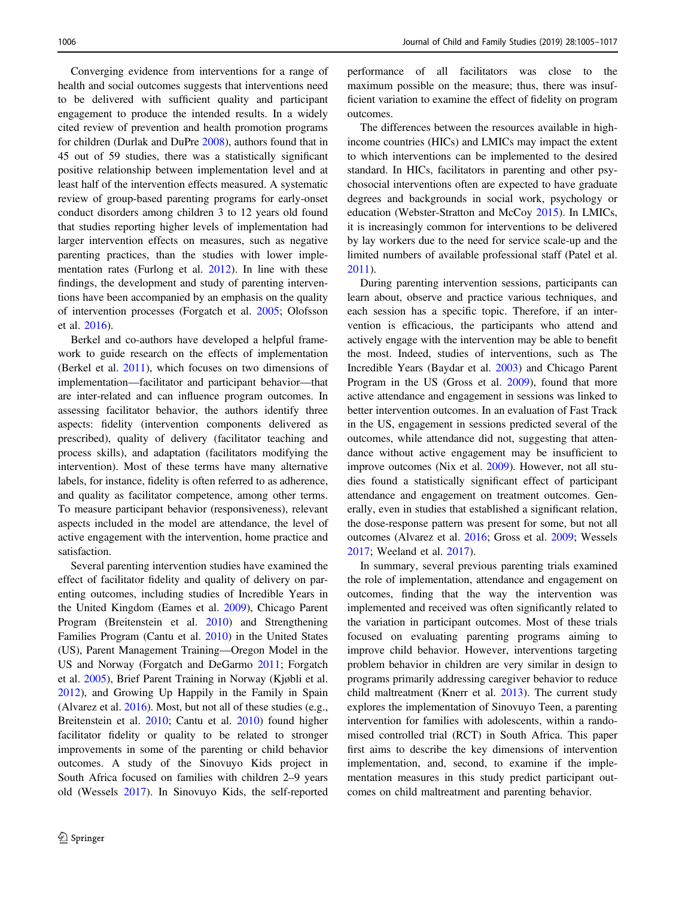Converging evidence from interventions for a range of health and social outcomes suggests that interventions need to be delivered with sufficient quality and participant engagement to produce the intended results. In a widely cited review of prevention and health promotion programs for children (Durlak and DuPre [2008](#page-11-0)), authors found that in 45 out of 59 studies, there was a statistically significant positive relationship between implementation level and at least half of the intervention effects measured. A systematic review of group-based parenting programs for early-onset conduct disorders among children 3 to 12 years old found that studies reporting higher levels of implementation had larger intervention effects on measures, such as negative parenting practices, than the studies with lower implementation rates (Furlong et al. [2012\)](#page-11-0). In line with these findings, the development and study of parenting interventions have been accompanied by an emphasis on the quality of intervention processes (Forgatch et al. [2005](#page-11-0); Olofsson et al. [2016](#page-12-0)).

Berkel and co-authors have developed a helpful framework to guide research on the effects of implementation (Berkel et al. [2011\)](#page-11-0), which focuses on two dimensions of implementation—facilitator and participant behavior—that are inter-related and can influence program outcomes. In assessing facilitator behavior, the authors identify three aspects: fidelity (intervention components delivered as prescribed), quality of delivery (facilitator teaching and process skills), and adaptation (facilitators modifying the intervention). Most of these terms have many alternative labels, for instance, fidelity is often referred to as adherence, and quality as facilitator competence, among other terms. To measure participant behavior (responsiveness), relevant aspects included in the model are attendance, the level of active engagement with the intervention, home practice and satisfaction.

Several parenting intervention studies have examined the effect of facilitator fidelity and quality of delivery on parenting outcomes, including studies of Incredible Years in the United Kingdom (Eames et al. [2009](#page-11-0)), Chicago Parent Program (Breitenstein et al. [2010](#page-11-0)) and Strengthening Families Program (Cantu et al. [2010\)](#page-11-0) in the United States (US), Parent Management Training—Oregon Model in the US and Norway (Forgatch and DeGarmo [2011](#page-11-0); Forgatch et al. [2005\)](#page-11-0), Brief Parent Training in Norway (Kjøbli et al. [2012\)](#page-12-0), and Growing Up Happily in the Family in Spain (Alvarez et al. [2016](#page-10-0)). Most, but not all of these studies (e.g., Breitenstein et al. [2010](#page-11-0); Cantu et al. [2010\)](#page-11-0) found higher facilitator fidelity or quality to be related to stronger improvements in some of the parenting or child behavior outcomes. A study of the Sinovuyo Kids project in South Africa focused on families with children 2–9 years old (Wessels [2017](#page-12-0)). In Sinovuyo Kids, the self-reported performance of all facilitators was close to the maximum possible on the measure; thus, there was insufficient variation to examine the effect of fidelity on program outcomes.

The differences between the resources available in highincome countries (HICs) and LMICs may impact the extent to which interventions can be implemented to the desired standard. In HICs, facilitators in parenting and other psychosocial interventions often are expected to have graduate degrees and backgrounds in social work, psychology or education (Webster-Stratton and McCoy [2015\)](#page-12-0). In LMICs, it is increasingly common for interventions to be delivered by lay workers due to the need for service scale-up and the limited numbers of available professional staff (Patel et al. [2011](#page-12-0)).

During parenting intervention sessions, participants can learn about, observe and practice various techniques, and each session has a specific topic. Therefore, if an intervention is efficacious, the participants who attend and actively engage with the intervention may be able to benefit the most. Indeed, studies of interventions, such as The Incredible Years (Baydar et al. [2003\)](#page-11-0) and Chicago Parent Program in the US (Gross et al. [2009\)](#page-11-0), found that more active attendance and engagement in sessions was linked to better intervention outcomes. In an evaluation of Fast Track in the US, engagement in sessions predicted several of the outcomes, while attendance did not, suggesting that attendance without active engagement may be insufficient to improve outcomes (Nix et al. [2009\)](#page-12-0). However, not all studies found a statistically significant effect of participant attendance and engagement on treatment outcomes. Generally, even in studies that established a significant relation, the dose-response pattern was present for some, but not all outcomes (Alvarez et al. [2016](#page-10-0); Gross et al. [2009;](#page-11-0) Wessels [2017](#page-12-0); Weeland et al. [2017\)](#page-12-0).

In summary, several previous parenting trials examined the role of implementation, attendance and engagement on outcomes, finding that the way the intervention was implemented and received was often significantly related to the variation in participant outcomes. Most of these trials focused on evaluating parenting programs aiming to improve child behavior. However, interventions targeting problem behavior in children are very similar in design to programs primarily addressing caregiver behavior to reduce child maltreatment (Knerr et al. [2013](#page-12-0)). The current study explores the implementation of Sinovuyo Teen, a parenting intervention for families with adolescents, within a randomised controlled trial (RCT) in South Africa. This paper first aims to describe the key dimensions of intervention implementation, and, second, to examine if the implementation measures in this study predict participant outcomes on child maltreatment and parenting behavior.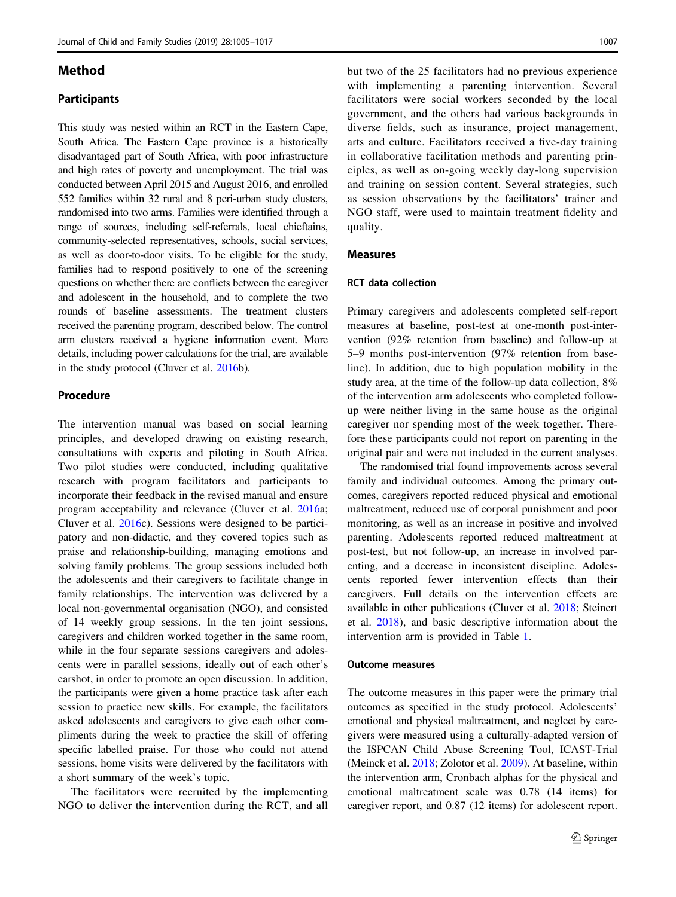### Method

### Participants

This study was nested within an RCT in the Eastern Cape, South Africa. The Eastern Cape province is a historically disadvantaged part of South Africa, with poor infrastructure and high rates of poverty and unemployment. The trial was conducted between April 2015 and August 2016, and enrolled 552 families within 32 rural and 8 peri-urban study clusters, randomised into two arms. Families were identified through a range of sources, including self-referrals, local chieftains, community-selected representatives, schools, social services, as well as door-to-door visits. To be eligible for the study, families had to respond positively to one of the screening questions on whether there are conflicts between the caregiver and adolescent in the household, and to complete the two rounds of baseline assessments. The treatment clusters received the parenting program, described below. The control arm clusters received a hygiene information event. More details, including power calculations for the trial, are available in the study protocol (Cluver et al. [2016](#page-11-0)b).

## Procedure

The intervention manual was based on social learning principles, and developed drawing on existing research, consultations with experts and piloting in South Africa. Two pilot studies were conducted, including qualitative research with program facilitators and participants to incorporate their feedback in the revised manual and ensure program acceptability and relevance (Cluver et al. [2016](#page-11-0)a; Cluver et al. [2016c](#page-11-0)). Sessions were designed to be participatory and non-didactic, and they covered topics such as praise and relationship-building, managing emotions and solving family problems. The group sessions included both the adolescents and their caregivers to facilitate change in family relationships. The intervention was delivered by a local non-governmental organisation (NGO), and consisted of 14 weekly group sessions. In the ten joint sessions, caregivers and children worked together in the same room, while in the four separate sessions caregivers and adolescents were in parallel sessions, ideally out of each other's earshot, in order to promote an open discussion. In addition, the participants were given a home practice task after each session to practice new skills. For example, the facilitators asked adolescents and caregivers to give each other compliments during the week to practice the skill of offering specific labelled praise. For those who could not attend sessions, home visits were delivered by the facilitators with a short summary of the week's topic.

The facilitators were recruited by the implementing NGO to deliver the intervention during the RCT, and all

but two of the 25 facilitators had no previous experience with implementing a parenting intervention. Several facilitators were social workers seconded by the local government, and the others had various backgrounds in diverse fields, such as insurance, project management, arts and culture. Facilitators received a five-day training in collaborative facilitation methods and parenting principles, as well as on-going weekly day-long supervision and training on session content. Several strategies, such as session observations by the facilitators' trainer and NGO staff, were used to maintain treatment fidelity and quality.

### Measures

### RCT data collection

Primary caregivers and adolescents completed self-report measures at baseline, post-test at one-month post-intervention (92% retention from baseline) and follow-up at 5–9 months post-intervention (97% retention from baseline). In addition, due to high population mobility in the study area, at the time of the follow-up data collection, 8% of the intervention arm adolescents who completed followup were neither living in the same house as the original caregiver nor spending most of the week together. Therefore these participants could not report on parenting in the original pair and were not included in the current analyses.

The randomised trial found improvements across several family and individual outcomes. Among the primary outcomes, caregivers reported reduced physical and emotional maltreatment, reduced use of corporal punishment and poor monitoring, as well as an increase in positive and involved parenting. Adolescents reported reduced maltreatment at post-test, but not follow-up, an increase in involved parenting, and a decrease in inconsistent discipline. Adolescents reported fewer intervention effects than their caregivers. Full details on the intervention effects are available in other publications (Cluver et al. [2018;](#page-11-0) Steinert et al. [2018](#page-12-0)), and basic descriptive information about the intervention arm is provided in Table [1](#page-3-0).

### Outcome measures

The outcome measures in this paper were the primary trial outcomes as specified in the study protocol. Adolescents' emotional and physical maltreatment, and neglect by caregivers were measured using a culturally-adapted version of the ISPCAN Child Abuse Screening Tool, ICAST-Trial (Meinck et al. [2018](#page-12-0); Zolotor et al. [2009\)](#page-12-0). At baseline, within the intervention arm, Cronbach alphas for the physical and emotional maltreatment scale was 0.78 (14 items) for caregiver report, and 0.87 (12 items) for adolescent report.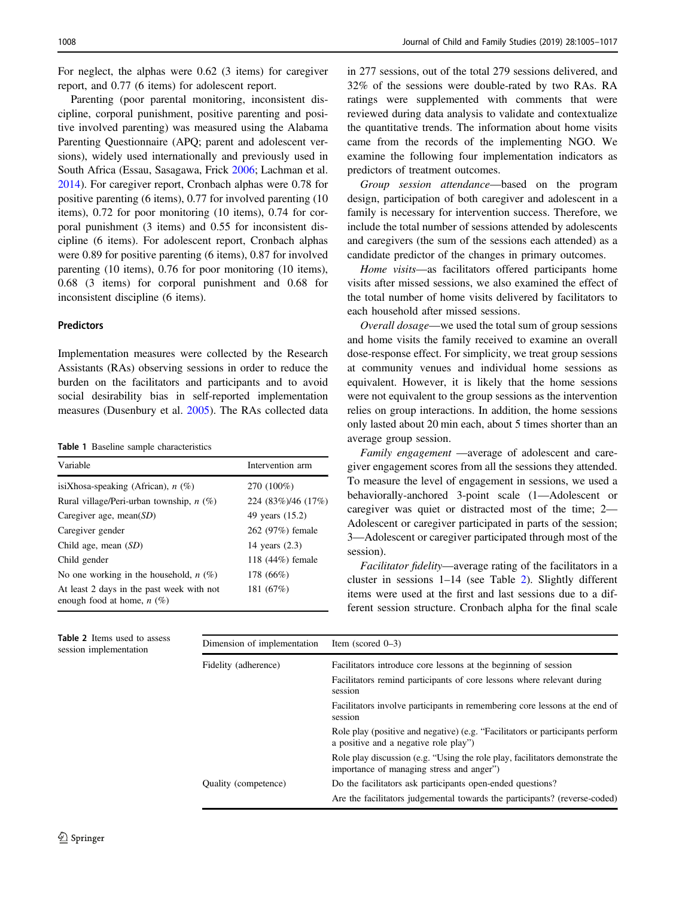<span id="page-3-0"></span>For neglect, the alphas were 0.62 (3 items) for caregiver report, and 0.77 (6 items) for adolescent report.

Parenting (poor parental monitoring, inconsistent discipline, corporal punishment, positive parenting and positive involved parenting) was measured using the Alabama Parenting Questionnaire (APQ; parent and adolescent versions), widely used internationally and previously used in South Africa (Essau, Sasagawa, Frick [2006;](#page-11-0) Lachman et al. [2014\)](#page-12-0). For caregiver report, Cronbach alphas were 0.78 for positive parenting (6 items), 0.77 for involved parenting (10 items), 0.72 for poor monitoring (10 items), 0.74 for corporal punishment (3 items) and 0.55 for inconsistent discipline (6 items). For adolescent report, Cronbach alphas were 0.89 for positive parenting (6 items), 0.87 for involved parenting (10 items), 0.76 for poor monitoring (10 items), 0.68 (3 items) for corporal punishment and 0.68 for inconsistent discipline (6 items).

#### **Predictors**

Implementation measures were collected by the Research Assistants (RAs) observing sessions in order to reduce the burden on the facilitators and participants and to avoid social desirability bias in self-reported implementation measures (Dusenbury et al. [2005\)](#page-11-0). The RAs collected data

Table 1 Baseline sample characteristics

| Variable                                                                  | Intervention arm   |  |  |  |
|---------------------------------------------------------------------------|--------------------|--|--|--|
| isiXhosa-speaking (African), $n$ (%)                                      | 270 (100%)         |  |  |  |
| Rural village/Peri-urban township, $n$ (%)                                | 224 (83%)/46 (17%) |  |  |  |
| Caregiver age, mean $(SD)$                                                | 49 years (15.2)    |  |  |  |
| Caregiver gender                                                          | 262 (97%) female   |  |  |  |
| Child age, mean $(SD)$                                                    | 14 years (2.3)     |  |  |  |
| Child gender                                                              | 118 (44%) female   |  |  |  |
| No one working in the household, $n(\%)$                                  | 178 (66%)          |  |  |  |
| At least 2 days in the past week with not<br>enough food at home, $n$ (%) | 181 (67%)          |  |  |  |

in 277 sessions, out of the total 279 sessions delivered, and 32% of the sessions were double-rated by two RAs. RA ratings were supplemented with comments that were reviewed during data analysis to validate and contextualize the quantitative trends. The information about home visits came from the records of the implementing NGO. We examine the following four implementation indicators as predictors of treatment outcomes.

Group session attendance—based on the program design, participation of both caregiver and adolescent in a family is necessary for intervention success. Therefore, we include the total number of sessions attended by adolescents and caregivers (the sum of the sessions each attended) as a candidate predictor of the changes in primary outcomes.

Home visits—as facilitators offered participants home visits after missed sessions, we also examined the effect of the total number of home visits delivered by facilitators to each household after missed sessions.

Overall dosage—we used the total sum of group sessions and home visits the family received to examine an overall dose-response effect. For simplicity, we treat group sessions at community venues and individual home sessions as equivalent. However, it is likely that the home sessions were not equivalent to the group sessions as the intervention relies on group interactions. In addition, the home sessions only lasted about 20 min each, about 5 times shorter than an average group session.

Family engagement —average of adolescent and caregiver engagement scores from all the sessions they attended. To measure the level of engagement in sessions, we used a behaviorally-anchored 3-point scale (1—Adolescent or caregiver was quiet or distracted most of the time; 2— Adolescent or caregiver participated in parts of the session; 3—Adolescent or caregiver participated through most of the session).

Facilitator fidelity—average rating of the facilitators in a cluster in sessions 1–14 (see Table 2). Slightly different items were used at the first and last sessions due to a different session structure. Cronbach alpha for the final scale

| <b>Table 2</b> Items used to assess<br>session implementation | Dimension of implementation | Item (scored $0-3$ )                                                                                                       |  |  |  |  |
|---------------------------------------------------------------|-----------------------------|----------------------------------------------------------------------------------------------------------------------------|--|--|--|--|
|                                                               | Fidelity (adherence)        | Facilitators introduce core lessons at the beginning of session                                                            |  |  |  |  |
|                                                               |                             | Facilitators remind participants of core lessons where relevant during<br>session                                          |  |  |  |  |
|                                                               |                             | Facilitators involve participants in remembering core lessons at the end of<br>session                                     |  |  |  |  |
|                                                               |                             | Role play (positive and negative) (e.g. "Facilitators or participants perform<br>a positive and a negative role play")     |  |  |  |  |
|                                                               |                             | Role play discussion (e.g. "Using the role play, facilitators demonstrate the<br>importance of managing stress and anger") |  |  |  |  |
|                                                               | Quality (competence)        | Do the facilitators ask participants open-ended questions?                                                                 |  |  |  |  |
|                                                               |                             | Are the facilitators judgemental towards the participants? (reverse-coded)                                                 |  |  |  |  |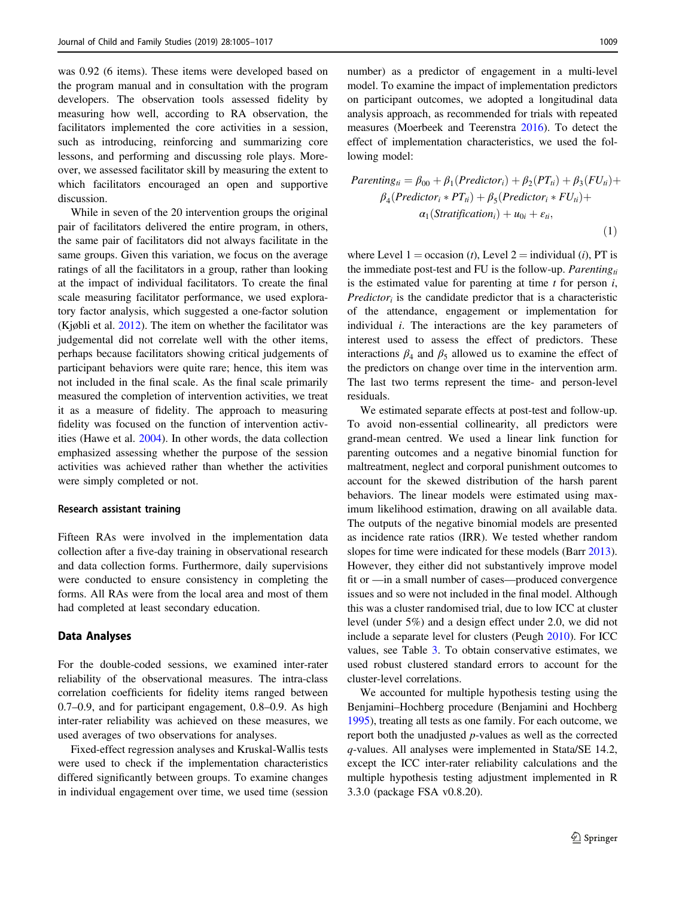was 0.92 (6 items). These items were developed based on the program manual and in consultation with the program developers. The observation tools assessed fidelity by measuring how well, according to RA observation, the facilitators implemented the core activities in a session, such as introducing, reinforcing and summarizing core lessons, and performing and discussing role plays. Moreover, we assessed facilitator skill by measuring the extent to which facilitators encouraged an open and supportive discussion.

While in seven of the 20 intervention groups the original pair of facilitators delivered the entire program, in others, the same pair of facilitators did not always facilitate in the same groups. Given this variation, we focus on the average ratings of all the facilitators in a group, rather than looking at the impact of individual facilitators. To create the final scale measuring facilitator performance, we used exploratory factor analysis, which suggested a one-factor solution (Kjøbli et al.  $2012$ ). The item on whether the facilitator was judgemental did not correlate well with the other items, perhaps because facilitators showing critical judgements of participant behaviors were quite rare; hence, this item was not included in the final scale. As the final scale primarily measured the completion of intervention activities, we treat it as a measure of fidelity. The approach to measuring fidelity was focused on the function of intervention activities (Hawe et al. [2004](#page-11-0)). In other words, the data collection emphasized assessing whether the purpose of the session activities was achieved rather than whether the activities were simply completed or not.

#### Research assistant training

Fifteen RAs were involved in the implementation data collection after a five-day training in observational research and data collection forms. Furthermore, daily supervisions were conducted to ensure consistency in completing the forms. All RAs were from the local area and most of them had completed at least secondary education.

### Data Analyses

For the double-coded sessions, we examined inter-rater reliability of the observational measures. The intra-class correlation coefficients for fidelity items ranged between 0.7–0.9, and for participant engagement, 0.8–0.9. As high inter-rater reliability was achieved on these measures, we used averages of two observations for analyses.

Fixed-effect regression analyses and Kruskal-Wallis tests were used to check if the implementation characteristics differed significantly between groups. To examine changes in individual engagement over time, we used time (session number) as a predictor of engagement in a multi-level model. To examine the impact of implementation predictors on participant outcomes, we adopted a longitudinal data analysis approach, as recommended for trials with repeated measures (Moerbeek and Teerenstra [2016](#page-12-0)). To detect the effect of implementation characteristics, we used the following model:

$$
Parenting_{ii} = \beta_{00} + \beta_1(Predictor_i) + \beta_2(PT_{ii}) + \beta_3(FU_{ii}) +
$$
  
\n
$$
\beta_4(Predictor_i * PT_{ii}) + \beta_5(Predictor_i * FU_{ii}) +
$$
  
\n
$$
\alpha_1(Stratification_i) + u_{0i} + \varepsilon_{ii},
$$
  
\n(1)

where Level  $1 = \text{occasion}(t)$ , Level  $2 = \text{individual}(i)$ , PT is the immediate post-test and FU is the follow-up. Parenting<sub>ti</sub> is the estimated value for parenting at time  $t$  for person  $i$ , *Predictor<sub>i</sub>* is the candidate predictor that is a characteristic of the attendance, engagement or implementation for individual i. The interactions are the key parameters of interest used to assess the effect of predictors. These interactions  $\beta_4$  and  $\beta_5$  allowed us to examine the effect of the predictors on change over time in the intervention arm. The last two terms represent the time- and person-level residuals.

We estimated separate effects at post-test and follow-up. To avoid non-essential collinearity, all predictors were grand-mean centred. We used a linear link function for parenting outcomes and a negative binomial function for maltreatment, neglect and corporal punishment outcomes to account for the skewed distribution of the harsh parent behaviors. The linear models were estimated using maximum likelihood estimation, drawing on all available data. The outputs of the negative binomial models are presented as incidence rate ratios (IRR). We tested whether random slopes for time were indicated for these models (Barr [2013\)](#page-11-0). However, they either did not substantively improve model fit or —in a small number of cases—produced convergence issues and so were not included in the final model. Although this was a cluster randomised trial, due to low ICC at cluster level (under 5%) and a design effect under 2.0, we did not include a separate level for clusters (Peugh [2010](#page-12-0)). For ICC values, see Table [3.](#page-5-0) To obtain conservative estimates, we used robust clustered standard errors to account for the cluster-level correlations.

We accounted for multiple hypothesis testing using the Benjamini–Hochberg procedure (Benjamini and Hochberg [1995](#page-11-0)), treating all tests as one family. For each outcome, we report both the unadjusted p-values as well as the corrected q-values. All analyses were implemented in Stata/SE 14.2, except the ICC inter-rater reliability calculations and the multiple hypothesis testing adjustment implemented in R 3.3.0 (package FSA v0.8.20).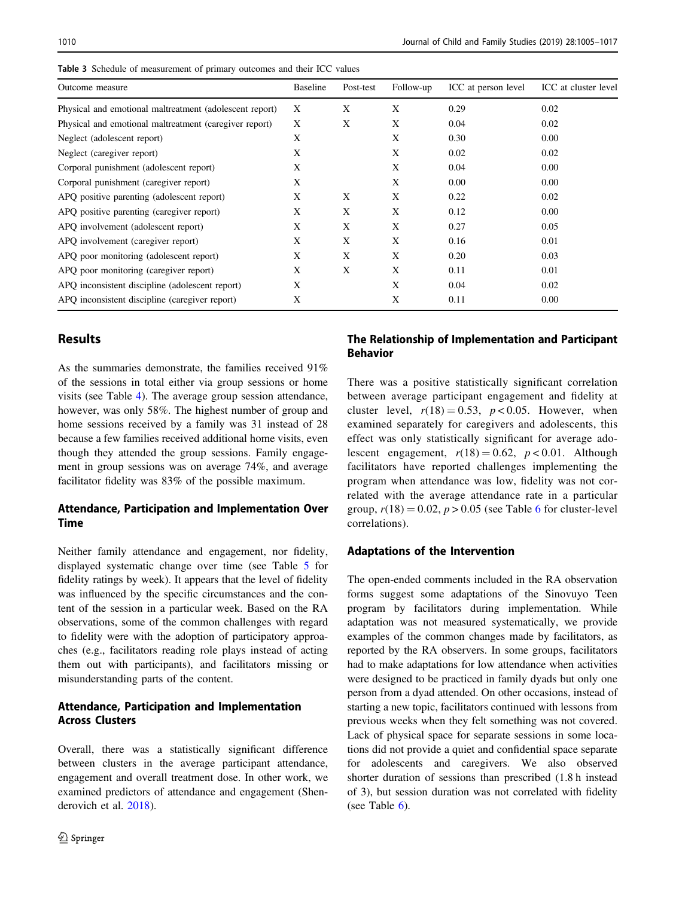| Outcome measure                                         | <b>Baseline</b> | Post-test | Follow-up | ICC at person level | ICC at cluster level |
|---------------------------------------------------------|-----------------|-----------|-----------|---------------------|----------------------|
| Physical and emotional maltreatment (adolescent report) | X               | X         | X         | 0.29                | 0.02                 |
| Physical and emotional maltreatment (caregiver report)  | X               | X         | X         | 0.04                | 0.02                 |
| Neglect (adolescent report)                             | X               |           | X         | 0.30                | 0.00                 |
| Neglect (caregiver report)                              | X               |           | X         | 0.02                | 0.02                 |
| Corporal punishment (adolescent report)                 | X               |           | X         | 0.04                | 0.00                 |
| Corporal punishment (caregiver report)                  | X               |           | X         | 0.00                | 0.00                 |
| APQ positive parenting (adolescent report)              | X               | X         | X         | 0.22                | 0.02                 |
| APQ positive parenting (caregiver report)               | X               | X         | X         | 0.12                | 0.00                 |
| APQ involvement (adolescent report)                     | Χ               | X         | X         | 0.27                | 0.05                 |
| APQ involvement (caregiver report)                      | X               | X         | X         | 0.16                | 0.01                 |
| APQ poor monitoring (adolescent report)                 | X               | X         | X         | 0.20                | 0.03                 |
| APQ poor monitoring (caregiver report)                  | X               | X         | X         | 0.11                | 0.01                 |
| APQ inconsistent discipline (adolescent report)         | X               |           | X         | 0.04                | 0.02                 |
| APQ inconsistent discipline (caregiver report)          | X               |           | X         | 0.11                | 0.00                 |

<span id="page-5-0"></span>Table 3 Schedule of measurement of primary outcomes and their ICC values

# Results

As the summaries demonstrate, the families received 91% of the sessions in total either via group sessions or home visits (see Table [4\)](#page-6-0). The average group session attendance, however, was only 58%. The highest number of group and home sessions received by a family was 31 instead of 28 because a few families received additional home visits, even though they attended the group sessions. Family engagement in group sessions was on average 74%, and average facilitator fidelity was 83% of the possible maximum.

# Attendance, Participation and Implementation Over Time

Neither family attendance and engagement, nor fidelity, displayed systematic change over time (see Table [5](#page-6-0) for fidelity ratings by week). It appears that the level of fidelity was influenced by the specific circumstances and the content of the session in a particular week. Based on the RA observations, some of the common challenges with regard to fidelity were with the adoption of participatory approaches (e.g., facilitators reading role plays instead of acting them out with participants), and facilitators missing or misunderstanding parts of the content.

# Attendance, Participation and Implementation Across Clusters

Overall, there was a statistically significant difference between clusters in the average participant attendance, engagement and overall treatment dose. In other work, we examined predictors of attendance and engagement (Shenderovich et al. [2018](#page-12-0)).

# The Relationship of Implementation and Participant Behavior

There was a positive statistically significant correlation between average participant engagement and fidelity at cluster level,  $r(18) = 0.53$ ,  $p < 0.05$ . However, when examined separately for caregivers and adolescents, this effect was only statistically significant for average adolescent engagement,  $r(18) = 0.62$ ,  $p < 0.01$ . Although facilitators have reported challenges implementing the program when attendance was low, fidelity was not correlated with the average attendance rate in a particular group,  $r(18) = 0.02$ ,  $p > 0.05$  (see Table [6](#page-7-0) for cluster-level correlations).

### Adaptations of the Intervention

The open-ended comments included in the RA observation forms suggest some adaptations of the Sinovuyo Teen program by facilitators during implementation. While adaptation was not measured systematically, we provide examples of the common changes made by facilitators, as reported by the RA observers. In some groups, facilitators had to make adaptations for low attendance when activities were designed to be practiced in family dyads but only one person from a dyad attended. On other occasions, instead of starting a new topic, facilitators continued with lessons from previous weeks when they felt something was not covered. Lack of physical space for separate sessions in some locations did not provide a quiet and confidential space separate for adolescents and caregivers. We also observed shorter duration of sessions than prescribed (1.8 h instead of 3), but session duration was not correlated with fidelity (see Table [6](#page-7-0)).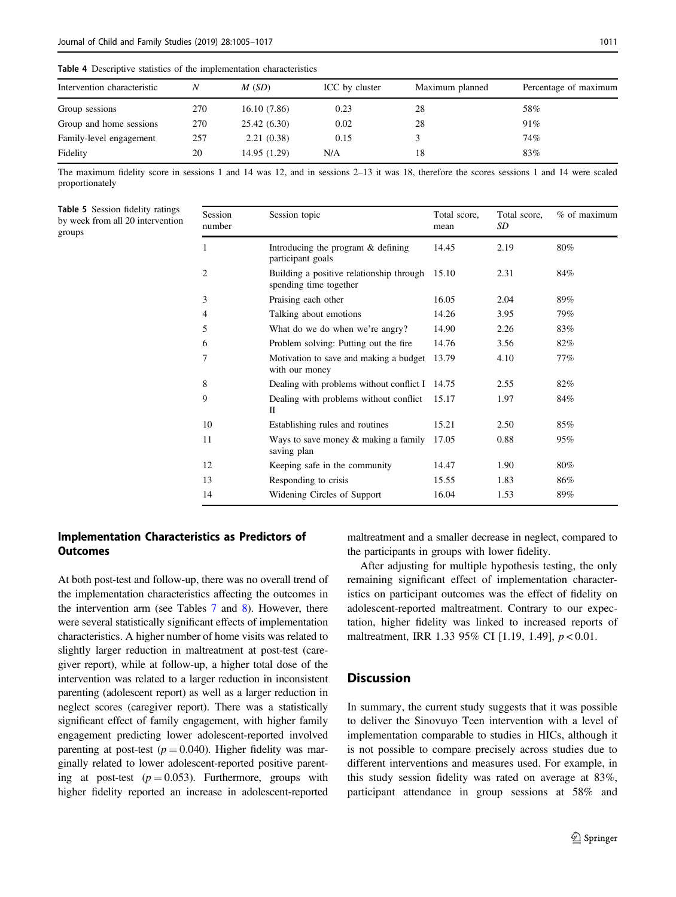<span id="page-6-0"></span>

| Intervention characteristic | Ν   | M(SD)       | ICC by cluster | Maximum planned | Percentage of maximum |
|-----------------------------|-----|-------------|----------------|-----------------|-----------------------|
| Group sessions              | 270 | 16.10(7.86) | 0.23           | 28              | 58%                   |
| Group and home sessions     | 270 | 25.42(6.30) | 0.02           | 28              | 91%                   |
| Family-level engagement     | 257 | 2.21(0.38)  | 0.15           |                 | 74%                   |
| Fidelity                    | 20  | 14.95(1.29) | N/A            | 18              | 83%                   |
|                             |     |             |                |                 |                       |

The maximum fidelity score in sessions 1 and 14 was 12, and in sessions 2–13 it was 18, therefore the scores sessions 1 and 14 were scaled proportionately

Table 5 Session fidelity ratings by week from all 20 intervention groups

| Session<br>number | Session topic                                                      |       | Total score,<br>SD | $%$ of maximum |  |
|-------------------|--------------------------------------------------------------------|-------|--------------------|----------------|--|
| 1                 | Introducing the program & defining<br>participant goals            | 14.45 | 2.19               | $80\%$         |  |
| 2                 | Building a positive relationship through<br>spending time together | 15.10 | 2.31               | 84%            |  |
| 3                 | Praising each other                                                | 16.05 | 2.04               | 89%            |  |
| 4                 | Talking about emotions                                             | 14.26 | 3.95               | 79%            |  |
| 5                 | What do we do when we're angry?                                    | 14.90 | 2.26               | 83%            |  |
| 6                 | Problem solving: Putting out the fire                              | 14.76 | 3.56               | 82%            |  |
| 7                 | Motivation to save and making a budget<br>with our money           | 13.79 | 4.10               | 77%            |  |
| 8                 | Dealing with problems without conflict I                           | 14.75 | 2.55               | 82%            |  |
| 9                 | Dealing with problems without conflict<br>П                        | 15.17 | 1.97               | 84%            |  |
| 10                | Establishing rules and routines                                    | 15.21 | 2.50               | 85%            |  |
| 11                | Ways to save money & making a family<br>saving plan                | 17.05 | 0.88               | 95%            |  |
| 12                | Keeping safe in the community                                      | 14.47 | 1.90               | $80\%$         |  |
| 13                | Responding to crisis                                               | 15.55 | 1.83               | 86%            |  |
| 14                | Widening Circles of Support                                        | 16.04 | 1.53               | 89%            |  |
|                   |                                                                    |       |                    |                |  |

### Implementation Characteristics as Predictors of **Outcomes**

At both post-test and follow-up, there was no overall trend of the implementation characteristics affecting the outcomes in the intervention arm (see Tables [7](#page-7-0) and [8](#page-8-0)). However, there were several statistically significant effects of implementation characteristics. A higher number of home visits was related to slightly larger reduction in maltreatment at post-test (caregiver report), while at follow-up, a higher total dose of the intervention was related to a larger reduction in inconsistent parenting (adolescent report) as well as a larger reduction in neglect scores (caregiver report). There was a statistically significant effect of family engagement, with higher family engagement predicting lower adolescent-reported involved parenting at post-test ( $p = 0.040$ ). Higher fidelity was marginally related to lower adolescent-reported positive parenting at post-test  $(p = 0.053)$ . Furthermore, groups with higher fidelity reported an increase in adolescent-reported

maltreatment and a smaller decrease in neglect, compared to the participants in groups with lower fidelity.

After adjusting for multiple hypothesis testing, the only remaining significant effect of implementation characteristics on participant outcomes was the effect of fidelity on adolescent-reported maltreatment. Contrary to our expectation, higher fidelity was linked to increased reports of maltreatment, IRR 1.33 95% CI [1.19, 1.49], p < 0.01.

### **Discussion**

In summary, the current study suggests that it was possible to deliver the Sinovuyo Teen intervention with a level of implementation comparable to studies in HICs, although it is not possible to compare precisely across studies due to different interventions and measures used. For example, in this study session fidelity was rated on average at 83%, participant attendance in group sessions at 58% and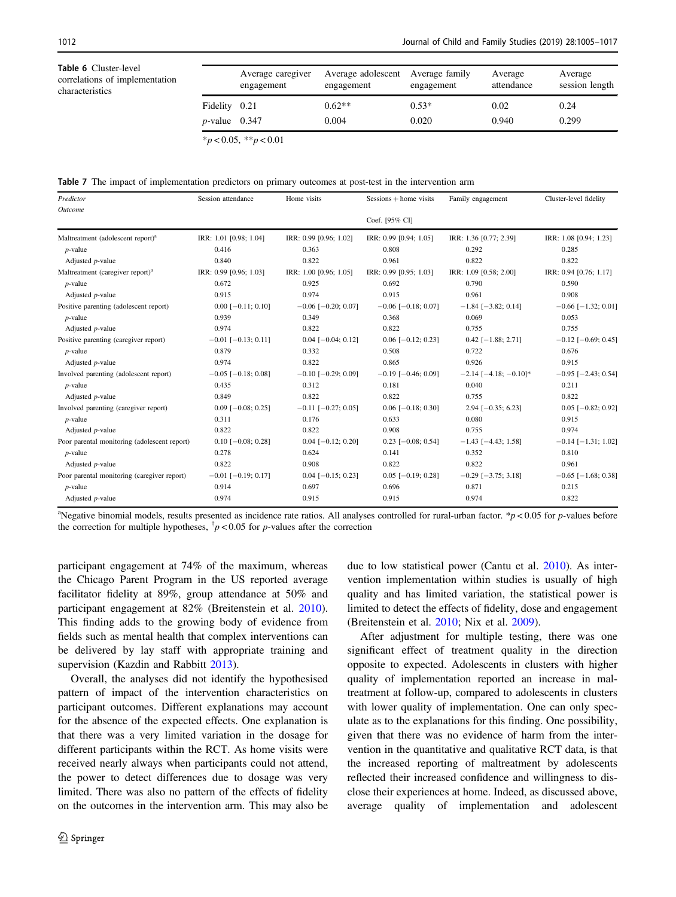#### <span id="page-7-0"></span>Table 6 Cluster-level correlations of implementation characteristics

|                  | Average caregiver<br>engagement | Average adolescent Average family<br>engagement | engagement | Average<br>attendance | Average<br>session length |
|------------------|---------------------------------|-------------------------------------------------|------------|-----------------------|---------------------------|
| Fidelity 0.21    |                                 | $0.62**$                                        | $0.53*$    | 0.02                  | 0.24                      |
| $p$ -value 0.347 |                                 | 0.004                                           | 0.020      | 0.940                 | 0.299                     |

 $*_{p}$  < 0.05,  $*_{p}$  < 0.01

|  |  |  | <b>Table 7</b> The impact of implementation predictors on primary outcomes at post-test in the intervention arm |  |  |  |  |  |  |  |  |  |  |  |  |
|--|--|--|-----------------------------------------------------------------------------------------------------------------|--|--|--|--|--|--|--|--|--|--|--|--|
|--|--|--|-----------------------------------------------------------------------------------------------------------------|--|--|--|--|--|--|--|--|--|--|--|--|

| Predictor                                     | Session attendance        | Home visits               | $S_{\text{essions}} + \text{home visits}$ | Family engagement              | Cluster-level fidelity    |
|-----------------------------------------------|---------------------------|---------------------------|-------------------------------------------|--------------------------------|---------------------------|
| <b>Outcome</b>                                |                           |                           |                                           |                                |                           |
|                                               |                           |                           | Coef. [95% CI]                            |                                |                           |
| Maltreatment (adolescent report) <sup>a</sup> | IRR: 1.01 [0.98; 1.04]    | IRR: 0.99 [0.96; 1.02]    | IRR: 0.99 [0.94; 1.05]                    | IRR: 1.36 [0.77; 2.39]         | IRR: 1.08 [0.94; 1.23]    |
| $p$ -value                                    | 0.416                     | 0.363                     | 0.808                                     | 0.292                          | 0.285                     |
| Adjusted p-value                              | 0.840                     | 0.822                     | 0.961                                     | 0.822                          | 0.822                     |
| Maltreatment (caregiver report) <sup>a</sup>  | IRR: 0.99 [0.96; 1.03]    | IRR: 1.00 [0.96; 1.05]    | IRR: 0.99 [0.95; 1.03]                    | IRR: 1.09 [0.58; 2.00]         | IRR: 0.94 [0.76; 1.17]    |
| $p$ -value                                    | 0.672                     | 0.925                     | 0.692                                     | 0.790                          | 0.590                     |
| Adjusted p-value                              | 0.915                     | 0.974                     | 0.915                                     | 0.961                          | 0.908                     |
| Positive parenting (adolescent report)        | $0.00$ [-0.11; 0.10]      | $-0.06$ [ $-0.20$ ; 0.07] | $-0.06$ [ $-0.18$ ; 0.07]                 | $-1.84$ [ $-3.82$ ; 0.14]      | $-0.66$ [ $-1.32$ ; 0.01] |
| $p$ -value                                    | 0.939                     | 0.349                     | 0.368                                     | 0.069                          | 0.053                     |
| Adjusted p-value                              | 0.974                     | 0.822                     | 0.822                                     | 0.755                          | 0.755                     |
| Positive parenting (caregiver report)         | $-0.01$ [ $-0.13$ ; 0.11] | $0.04$ [-0.04; 0.12]      | $0.06$ [-0.12; 0.23]                      | $0.42$ [-1.88; 2.71]           | $-0.12$ [ $-0.69$ ; 0.45] |
| $p$ -value                                    | 0.879                     | 0.332                     | 0.508                                     | 0.722                          | 0.676                     |
| Adjusted <i>p</i> -value                      | 0.974                     | 0.822                     | 0.865                                     | 0.926                          | 0.915                     |
| Involved parenting (adolescent report)        | $-0.05$ [ $-0.18$ ; 0.08] | $-0.10[-0.29; 0.09]$      | $-0.19$ [ $-0.46$ ; 0.09]                 | $-2.14$ [ $-4.18$ ; $-0.10$ ]* | $-0.95$ [ $-2.43$ ; 0.54] |
| $p$ -value                                    | 0.435                     | 0.312                     | 0.181                                     | 0.040                          | 0.211                     |
| Adjusted p-value                              | 0.849                     | 0.822                     | 0.822                                     | 0.755                          | 0.822                     |
| Involved parenting (caregiver report)         | $0.09$ [-0.08; 0.25]      | $-0.11$ [ $-0.27$ ; 0.05] | $0.06$ [ $-0.18$ ; 0.30]                  | $2.94$ [-0.35; 6.23]           | $0.05$ [ $-0.82$ ; 0.92]  |
| $p$ -value                                    | 0.311                     | 0.176                     | 0.633                                     | 0.080                          | 0.915                     |
| Adjusted p-value                              | 0.822                     | 0.822                     | 0.908                                     | 0.755                          | 0.974                     |
| Poor parental monitoring (adolescent report)  | $0.10$ [ $-0.08$ ; 0.28]  | $0.04$ [-0.12; 0.20]      | $0.23$ [-0.08; 0.54]                      | $-1.43$ [ $-4.43$ ; 1.58]      | $-0.14$ [ $-1.31$ ; 1.02] |
| $p$ -value                                    | 0.278                     | 0.624                     | 0.141                                     | 0.352                          | 0.810                     |
| Adjusted p-value                              | 0.822                     | 0.908                     | 0.822                                     | 0.822                          | 0.961                     |
| Poor parental monitoring (caregiver report)   | $-0.01$ [ $-0.19$ ; 0.17] | $0.04$ [-0.15; 0.23]      | $0.05$ [-0.19; 0.28]                      | $-0.29$ [ $-3.75$ ; 3.18]      | $-0.65$ [ $-1.68$ ; 0.38] |
| $p$ -value                                    | 0.914                     | 0.697                     | 0.696                                     | 0.871                          | 0.215                     |
| Adjusted p-value                              | 0.974                     | 0.915                     | 0.915                                     | 0.974                          | 0.822                     |

<sup>a</sup>Negative binomial models, results presented as incidence rate ratios. All analyses controlled for rural-urban factor. \*p < 0.05 for p-values before the correction for multiple hypotheses,  $\bar{p}$  < 0.05 for p-values after the correction

participant engagement at 74% of the maximum, whereas the Chicago Parent Program in the US reported average facilitator fidelity at 89%, group attendance at 50% and participant engagement at 82% (Breitenstein et al. [2010](#page-11-0)). This finding adds to the growing body of evidence from fields such as mental health that complex interventions can be delivered by lay staff with appropriate training and supervision (Kazdin and Rabbitt [2013](#page-12-0)).

Overall, the analyses did not identify the hypothesised pattern of impact of the intervention characteristics on participant outcomes. Different explanations may account for the absence of the expected effects. One explanation is that there was a very limited variation in the dosage for different participants within the RCT. As home visits were received nearly always when participants could not attend, the power to detect differences due to dosage was very limited. There was also no pattern of the effects of fidelity on the outcomes in the intervention arm. This may also be due to low statistical power (Cantu et al. [2010\)](#page-11-0). As intervention implementation within studies is usually of high quality and has limited variation, the statistical power is limited to detect the effects of fidelity, dose and engagement (Breitenstein et al. [2010;](#page-11-0) Nix et al. [2009](#page-12-0)).

After adjustment for multiple testing, there was one significant effect of treatment quality in the direction opposite to expected. Adolescents in clusters with higher quality of implementation reported an increase in maltreatment at follow-up, compared to adolescents in clusters with lower quality of implementation. One can only speculate as to the explanations for this finding. One possibility, given that there was no evidence of harm from the intervention in the quantitative and qualitative RCT data, is that the increased reporting of maltreatment by adolescents reflected their increased confidence and willingness to disclose their experiences at home. Indeed, as discussed above, average quality of implementation and adolescent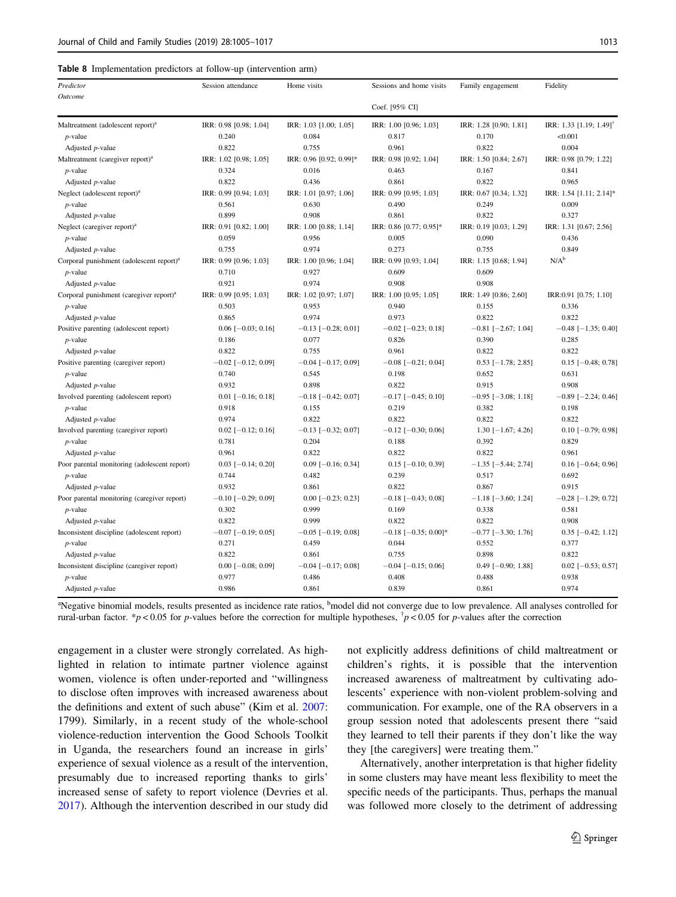#### <span id="page-8-0"></span>Table 8 Implementation predictors at follow-up (intervention arm)

| Predictor                                            | Session attendance        | Home visits               | Sessions and home visits   | Family engagement         | Fidelity                            |  |
|------------------------------------------------------|---------------------------|---------------------------|----------------------------|---------------------------|-------------------------------------|--|
| Outcome                                              |                           |                           |                            |                           |                                     |  |
|                                                      |                           |                           | Coef. [95% CI]             |                           |                                     |  |
| Maltreatment (adolescent report) <sup>a</sup>        | IRR: 0.98 [0.98; 1.04]    | IRR: 1.03 [1.00; 1.05]    | IRR: 1.00 [0.96; 1.03]     | IRR: 1.28 [0.90; 1.81]    | IRR: 1.33 [1.19; 1.49] <sup>†</sup> |  |
| $p$ -value                                           | 0.240                     | 0.084                     | 0.817                      | 0.170                     | < 0.001                             |  |
| Adjusted $p$ -value                                  | 0.822                     | 0.755                     | 0.961                      | 0.822                     | 0.004                               |  |
| Maltreatment (caregiver report) <sup>a</sup>         | IRR: 1.02 [0.98; 1.05]    | IRR: 0.96 [0.92; 0.99]*   | IRR: 0.98 [0.92; 1.04]     | IRR: 1.50 [0.84; 2.67]    | IRR: 0.98 [0.79; 1.22]              |  |
| $p$ -value                                           | 0.324                     | 0.016                     | 0.463                      | 0.167                     | 0.841                               |  |
| Adjusted p-value                                     | 0.822                     | 0.436                     | 0.861                      | 0.822                     | 0.965                               |  |
| Neglect (adolescent report) <sup>a</sup>             | IRR: 0.99 [0.94; 1.03]    | IRR: 1.01 [0.97; 1.06]    | IRR: 0.99 [0.95; 1.03]     | IRR: 0.67 [0.34; 1.32]    | IRR: 1.54 [1.11; 2.14]*             |  |
| $p$ -value                                           | 0.561                     | 0.630                     | 0.490                      | 0.249                     | 0.009                               |  |
| Adjusted <i>p</i> -value                             | 0.899                     | 0.908                     | 0.861                      | 0.822                     | 0.327                               |  |
| Neglect (caregiver report) <sup>a</sup>              | IRR: 0.91 [0.82; 1.00]    | IRR: 1.00 [0.88; 1.14]    | IRR: 0.86 [0.77; 0.95]*    | IRR: 0.19 [0.03; 1.29]    | IRR: 1.31 [0.67; 2.56]              |  |
| $p$ -value                                           | 0.059                     | 0.956                     | 0.005                      | 0.090                     | 0.436                               |  |
| Adjusted p-value                                     | 0.755                     | 0.974                     | 0.273                      | 0.755                     | 0.849                               |  |
| Corporal punishment (adolescent report) <sup>a</sup> | IRR: 0.99 [0.96; 1.03]    | IRR: 1.00 [0.96; 1.04]    | IRR: 0.99 [0.93; 1.04]     | IRR: 1.15 [0.68; 1.94]    | $N/A^b$                             |  |
| $p$ -value                                           | 0.710                     | 0.927                     | 0.609                      | 0.609                     |                                     |  |
| Adjusted <i>p</i> -value                             | 0.921                     | 0.974                     | 0.908                      | 0.908                     |                                     |  |
| Corporal punishment (caregiver report) <sup>a</sup>  | IRR: 0.99 [0.95; 1.03]    | IRR: 1.02 [0.97; 1.07]    | IRR: 1.00 [0.95; 1.05]     | IRR: 1.49 [0.86; 2.60]    | IRR:0.91 [0.75; 1.10]               |  |
| $p$ -value                                           | 0.503                     | 0.953                     | 0.940                      | 0.155                     | 0.336                               |  |
| Adjusted p-value                                     | 0.865                     | 0.974                     | 0.973                      | 0.822                     | 0.822                               |  |
| Positive parenting (adolescent report)               | $0.06$ [ $-0.03$ ; 0.16]  | $-0.13$ [ $-0.28$ ; 0.01] | $-0.02$ [ $-0.23$ ; 0.18]  | $-0.81$ [ $-2.67$ ; 1.04] | $-0.48$ [ $-1.35$ ; 0.40]           |  |
| $p$ -value                                           | 0.186                     | 0.077                     | 0.826                      | 0.390                     | 0.285                               |  |
| Adjusted p-value                                     | 0.822                     | 0.755                     | 0.961                      | 0.822                     | 0.822                               |  |
| Positive parenting (caregiver report)                | $-0.02$ [ $-0.12$ ; 0.09] | $-0.04$ [ $-0.17$ ; 0.09] | $-0.08$ [ $-0.21$ ; 0.04]  | $0.53$ [-1.78; 2.85]      | $0.15$ [-0.48; 0.78]                |  |
| $p$ -value                                           | 0.740                     | 0.545                     | 0.198                      | 0.652                     | 0.631                               |  |
| Adjusted <i>p</i> -value                             | 0.932                     | 0.898                     | 0.822                      | 0.915                     | 0.908                               |  |
| Involved parenting (adolescent report)               | $0.01$ [-0.16; 0.18]      | $-0.18$ [ $-0.42$ ; 0.07] | $-0.17$ [ $-0.45$ ; 0.10]  | $-0.95$ [ $-3.08$ ; 1.18] | $-0.89$ [ $-2.24$ ; 0.46]           |  |
| $p$ -value                                           | 0.918                     | 0.155                     | 0.219                      | 0.382                     | 0.198                               |  |
| Adjusted p-value                                     | 0.974                     | 0.822                     | 0.822                      | 0.822                     | 0.822                               |  |
| Involved parenting (caregiver report)                | $0.02$ [-0.12; 0.16]      | $-0.13$ [ $-0.32$ ; 0.07] | $-0.12$ [ $-0.30$ ; 0.06]  | $1.30$ [-1.67; 4.26]      | $0.10$ [-0.79; 0.98]                |  |
| $p$ -value                                           | 0.781                     | 0.204                     | 0.188                      | 0.392                     | 0.829                               |  |
| Adjusted <i>p</i> -value                             | 0.961                     | 0.822                     | 0.822                      | 0.822                     | 0.961                               |  |
| Poor parental monitoring (adolescent report)         | $0.03$ [-0.14; 0.20]      | $0.09$ [-0.16; 0.34]      | $0.15$ [-0.10; 0.39]       | $-1.35$ [ $-5.44$ ; 2.74] | $0.16$ [-0.64; 0.96]                |  |
| $p$ -value                                           | 0.744                     | 0.482                     | 0.239                      | 0.517                     | 0.692                               |  |
| Adjusted p-value                                     | 0.932                     | 0.861                     | 0.822                      | 0.867                     | 0.915                               |  |
| Poor parental monitoring (caregiver report)          | $-0.10$ [ $-0.29$ ; 0.09] | $0.00$ [-0.23; 0.23]      | $-0.18$ [ $-0.43$ ; 0.08]  | $-1.18$ [ $-3.60$ ; 1.24] | $-0.28$ [ $-1.29$ ; 0.72]           |  |
| $p$ -value                                           | 0.302                     | 0.999                     | 0.169                      | 0.338                     | 0.581                               |  |
| Adjusted <i>p</i> -value                             | 0.822                     | 0.999                     | 0.822                      | 0.822                     | 0.908                               |  |
| Inconsistent discipline (adolescent report)          | $-0.07$ [ $-0.19; 0.05$ ] | $-0.05$ [ $-0.19; 0.08$ ] | $-0.18$ [ $-0.35$ ; 0.00]* | $-0.77$ [ $-3.30$ ; 1.76] | $0.35$ [-0.42; 1.12]                |  |
| $p$ -value                                           | 0.271                     | 0.459                     | 0.044                      | 0.552                     | 0.377                               |  |
| Adjusted p-value                                     | 0.822                     | 0.861                     | 0.755                      | 0.898                     | 0.822                               |  |
| Inconsistent discipline (caregiver report)           | $0.00$ [ $-0.08$ ; 0.09]  | $-0.04$ [ $-0.17$ ; 0.08] | $-0.04$ [ $-0.15$ ; 0.06]  | $0.49$ [-0.90; 1.88]      | $0.02$ [-0.53; 0.57]                |  |
| $p$ -value                                           | 0.977                     | 0.486                     | 0.408                      | 0.488                     | 0.938                               |  |
| Adjusted <i>p</i> -value                             | 0.986                     | 0.861                     | 0.839                      | 0.861                     | 0.974                               |  |

<sup>a</sup>Negative binomial models, results presented as incidence rate ratios, <sup>b</sup>model did not converge due to low prevalence. All analyses controlled for rural-urban factor. \*p < 0.05 for p-values before the correction for multiple hypotheses,  $\dot{p}$  < 0.05 for p-values after the correction

engagement in a cluster were strongly correlated. As highlighted in relation to intimate partner violence against women, violence is often under-reported and "willingness to disclose often improves with increased awareness about the definitions and extent of such abuse" (Kim et al. [2007](#page-12-0): 1799). Similarly, in a recent study of the whole-school violence-reduction intervention the Good Schools Toolkit in Uganda, the researchers found an increase in girls' experience of sexual violence as a result of the intervention, presumably due to increased reporting thanks to girls' increased sense of safety to report violence (Devries et al. [2017\)](#page-11-0). Although the intervention described in our study did not explicitly address definitions of child maltreatment or children's rights, it is possible that the intervention increased awareness of maltreatment by cultivating adolescents' experience with non-violent problem-solving and communication. For example, one of the RA observers in a group session noted that adolescents present there "said they learned to tell their parents if they don't like the way they [the caregivers] were treating them."

Alternatively, another interpretation is that higher fidelity in some clusters may have meant less flexibility to meet the specific needs of the participants. Thus, perhaps the manual was followed more closely to the detriment of addressing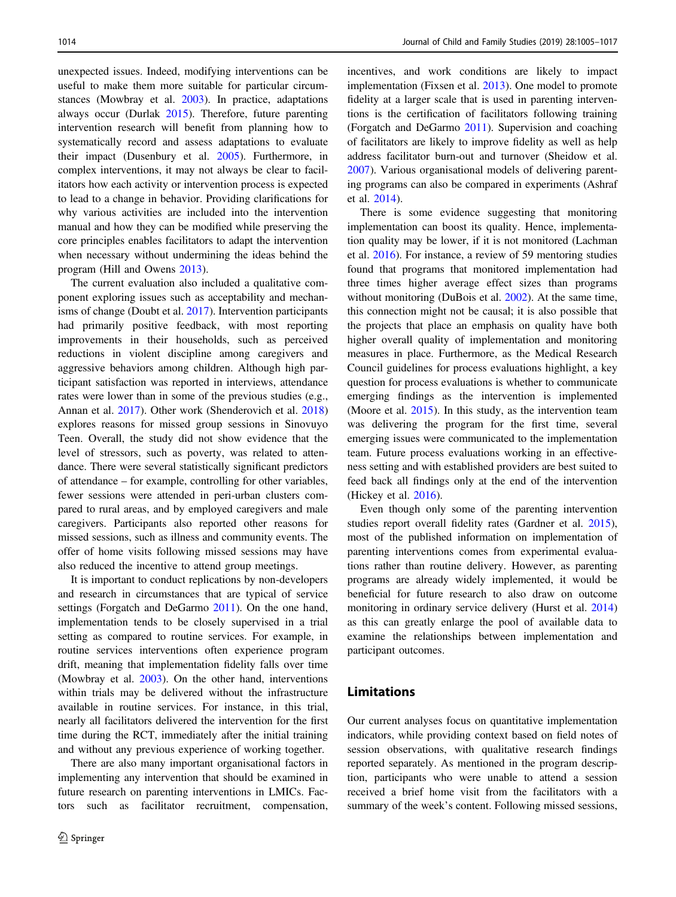unexpected issues. Indeed, modifying interventions can be useful to make them more suitable for particular circumstances (Mowbray et al. [2003\)](#page-12-0). In practice, adaptations always occur (Durlak [2015](#page-11-0)). Therefore, future parenting intervention research will benefit from planning how to systematically record and assess adaptations to evaluate their impact (Dusenbury et al. [2005](#page-11-0)). Furthermore, in complex interventions, it may not always be clear to facilitators how each activity or intervention process is expected to lead to a change in behavior. Providing clarifications for why various activities are included into the intervention manual and how they can be modified while preserving the core principles enables facilitators to adapt the intervention when necessary without undermining the ideas behind the program (Hill and Owens [2013](#page-12-0)).

The current evaluation also included a qualitative component exploring issues such as acceptability and mechanisms of change (Doubt et al. [2017](#page-11-0)). Intervention participants had primarily positive feedback, with most reporting improvements in their households, such as perceived reductions in violent discipline among caregivers and aggressive behaviors among children. Although high participant satisfaction was reported in interviews, attendance rates were lower than in some of the previous studies (e.g., Annan et al. [2017\)](#page-10-0). Other work (Shenderovich et al. [2018\)](#page-12-0) explores reasons for missed group sessions in Sinovuyo Teen. Overall, the study did not show evidence that the level of stressors, such as poverty, was related to attendance. There were several statistically significant predictors of attendance – for example, controlling for other variables, fewer sessions were attended in peri-urban clusters compared to rural areas, and by employed caregivers and male caregivers. Participants also reported other reasons for missed sessions, such as illness and community events. The offer of home visits following missed sessions may have also reduced the incentive to attend group meetings.

It is important to conduct replications by non-developers and research in circumstances that are typical of service settings (Forgatch and DeGarmo [2011\)](#page-11-0). On the one hand, implementation tends to be closely supervised in a trial setting as compared to routine services. For example, in routine services interventions often experience program drift, meaning that implementation fidelity falls over time (Mowbray et al. [2003\)](#page-12-0). On the other hand, interventions within trials may be delivered without the infrastructure available in routine services. For instance, in this trial, nearly all facilitators delivered the intervention for the first time during the RCT, immediately after the initial training and without any previous experience of working together.

There are also many important organisational factors in implementing any intervention that should be examined in future research on parenting interventions in LMICs. Factors such as facilitator recruitment, compensation, incentives, and work conditions are likely to impact implementation (Fixsen et al. [2013](#page-11-0)). One model to promote fidelity at a larger scale that is used in parenting interventions is the certification of facilitators following training (Forgatch and DeGarmo [2011](#page-11-0)). Supervision and coaching of facilitators are likely to improve fidelity as well as help address facilitator burn-out and turnover (Sheidow et al. [2007](#page-12-0)). Various organisational models of delivering parenting programs can also be compared in experiments (Ashraf et al. [2014](#page-11-0)).

There is some evidence suggesting that monitoring implementation can boost its quality. Hence, implementation quality may be lower, if it is not monitored (Lachman et al. [2016\)](#page-12-0). For instance, a review of 59 mentoring studies found that programs that monitored implementation had three times higher average effect sizes than programs without monitoring (DuBois et al. [2002\)](#page-11-0). At the same time, this connection might not be causal; it is also possible that the projects that place an emphasis on quality have both higher overall quality of implementation and monitoring measures in place. Furthermore, as the Medical Research Council guidelines for process evaluations highlight, a key question for process evaluations is whether to communicate emerging findings as the intervention is implemented (Moore et al. [2015](#page-12-0)). In this study, as the intervention team was delivering the program for the first time, several emerging issues were communicated to the implementation team. Future process evaluations working in an effectiveness setting and with established providers are best suited to feed back all findings only at the end of the intervention (Hickey et al. [2016\)](#page-11-0).

Even though only some of the parenting intervention studies report overall fidelity rates (Gardner et al. [2015\)](#page-11-0), most of the published information on implementation of parenting interventions comes from experimental evaluations rather than routine delivery. However, as parenting programs are already widely implemented, it would be beneficial for future research to also draw on outcome monitoring in ordinary service delivery (Hurst et al. [2014](#page-12-0)) as this can greatly enlarge the pool of available data to examine the relationships between implementation and participant outcomes.

## Limitations

Our current analyses focus on quantitative implementation indicators, while providing context based on field notes of session observations, with qualitative research findings reported separately. As mentioned in the program description, participants who were unable to attend a session received a brief home visit from the facilitators with a summary of the week's content. Following missed sessions,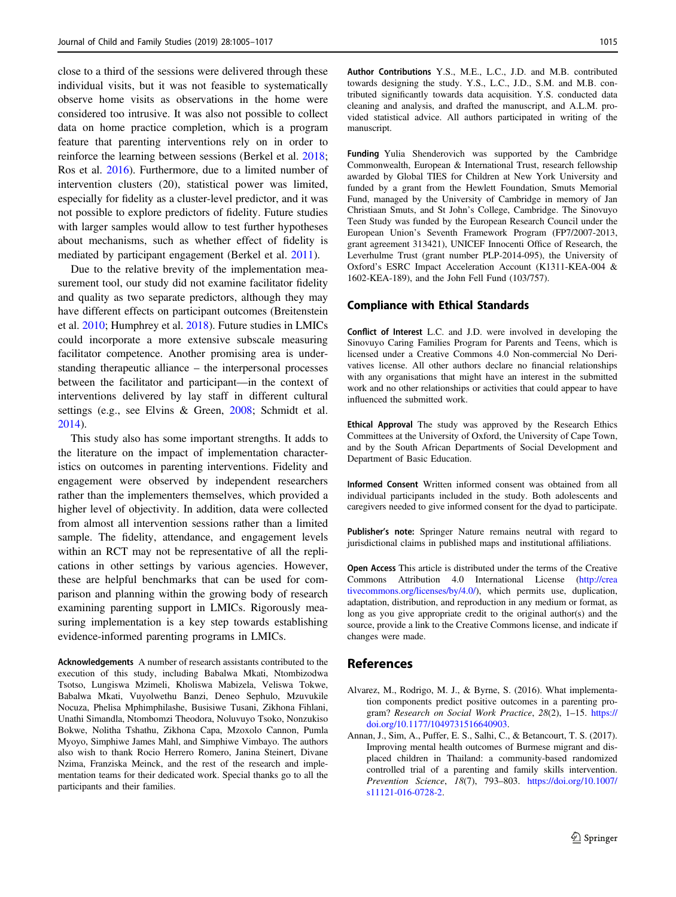<span id="page-10-0"></span>close to a third of the sessions were delivered through these individual visits, but it was not feasible to systematically observe home visits as observations in the home were considered too intrusive. It was also not possible to collect data on home practice completion, which is a program feature that parenting interventions rely on in order to reinforce the learning between sessions (Berkel et al. [2018](#page-11-0); Ros et al. [2016\)](#page-12-0). Furthermore, due to a limited number of intervention clusters (20), statistical power was limited, especially for fidelity as a cluster-level predictor, and it was not possible to explore predictors of fidelity. Future studies with larger samples would allow to test further hypotheses about mechanisms, such as whether effect of fidelity is mediated by participant engagement (Berkel et al. [2011](#page-11-0)).

Due to the relative brevity of the implementation measurement tool, our study did not examine facilitator fidelity and quality as two separate predictors, although they may have different effects on participant outcomes (Breitenstein et al. [2010;](#page-11-0) Humphrey et al. [2018](#page-12-0)). Future studies in LMICs could incorporate a more extensive subscale measuring facilitator competence. Another promising area is understanding therapeutic alliance – the interpersonal processes between the facilitator and participant—in the context of interventions delivered by lay staff in different cultural settings (e.g., see Elvins & Green, [2008](#page-11-0); Schmidt et al. [2014\)](#page-12-0).

This study also has some important strengths. It adds to the literature on the impact of implementation characteristics on outcomes in parenting interventions. Fidelity and engagement were observed by independent researchers rather than the implementers themselves, which provided a higher level of objectivity. In addition, data were collected from almost all intervention sessions rather than a limited sample. The fidelity, attendance, and engagement levels within an RCT may not be representative of all the replications in other settings by various agencies. However, these are helpful benchmarks that can be used for comparison and planning within the growing body of research examining parenting support in LMICs. Rigorously measuring implementation is a key step towards establishing evidence-informed parenting programs in LMICs.

Acknowledgements A number of research assistants contributed to the execution of this study, including Babalwa Mkati, Ntombizodwa Tsotso, Lungiswa Mzimeli, Kholiswa Mabizela, Veliswa Tokwe, Babalwa Mkati, Vuyolwethu Banzi, Deneo Sephulo, Mzuvukile Nocuza, Phelisa Mphimphilashe, Busisiwe Tusani, Zikhona Fihlani, Unathi Simandla, Ntombomzi Theodora, Noluvuyo Tsoko, Nonzukiso Bokwe, Nolitha Tshathu, Zikhona Capa, Mzoxolo Cannon, Pumla Myoyo, Simphiwe James Mahl, and Simphiwe Vimbayo. The authors also wish to thank Rocio Herrero Romero, Janina Steinert, Divane Nzima, Franziska Meinck, and the rest of the research and implementation teams for their dedicated work. Special thanks go to all the participants and their families.

Author Contributions Y.S., M.E., L.C., J.D. and M.B. contributed towards designing the study. Y.S., L.C., J.D., S.M. and M.B. contributed significantly towards data acquisition. Y.S. conducted data cleaning and analysis, and drafted the manuscript, and A.L.M. provided statistical advice. All authors participated in writing of the manuscript.

Funding Yulia Shenderovich was supported by the Cambridge Commonwealth, European & International Trust, research fellowship awarded by Global TIES for Children at New York University and funded by a grant from the Hewlett Foundation, Smuts Memorial Fund, managed by the University of Cambridge in memory of Jan Christiaan Smuts, and St John's College, Cambridge. The Sinovuyo Teen Study was funded by the European Research Council under the European Union's Seventh Framework Program (FP7/2007-2013, grant agreement 313421), UNICEF Innocenti Office of Research, the Leverhulme Trust (grant number PLP-2014-095), the University of Oxford's ESRC Impact Acceleration Account (K1311-KEA-004 & 1602-KEA-189), and the John Fell Fund (103/757).

### Compliance with Ethical Standards

Conflict of Interest L.C. and J.D. were involved in developing the Sinovuyo Caring Families Program for Parents and Teens, which is licensed under a Creative Commons 4.0 Non-commercial No Derivatives license. All other authors declare no financial relationships with any organisations that might have an interest in the submitted work and no other relationships or activities that could appear to have influenced the submitted work.

Ethical Approval The study was approved by the Research Ethics Committees at the University of Oxford, the University of Cape Town, and by the South African Departments of Social Development and Department of Basic Education.

Informed Consent Written informed consent was obtained from all individual participants included in the study. Both adolescents and caregivers needed to give informed consent for the dyad to participate.

Publisher's note: Springer Nature remains neutral with regard to jurisdictional claims in published maps and institutional affiliations.

Open Access This article is distributed under the terms of the Creative Commons Attribution 4.0 International License [\(http://crea](http://creativecommons.org/licenses/by/4.0/) [tivecommons.org/licenses/by/4.0/](http://creativecommons.org/licenses/by/4.0/)), which permits use, duplication, adaptation, distribution, and reproduction in any medium or format, as long as you give appropriate credit to the original author(s) and the source, provide a link to the Creative Commons license, and indicate if changes were made.

### References

- Alvarez, M., Rodrigo, M. J., & Byrne, S. (2016). What implementation components predict positive outcomes in a parenting program? Research on Social Work Practice, 28(2), 1–15. [https://](https://doi.org/10.1177/1049731516640903) [doi.org/10.1177/1049731516640903](https://doi.org/10.1177/1049731516640903).
- Annan, J., Sim, A., Puffer, E. S., Salhi, C., & Betancourt, T. S. (2017). Improving mental health outcomes of Burmese migrant and displaced children in Thailand: a community-based randomized controlled trial of a parenting and family skills intervention. Prevention Science, 18(7), 793–803. [https://doi.org/10.1007/](https://doi.org/10.1007/s11121-016-0728-2) [s11121-016-0728-2.](https://doi.org/10.1007/s11121-016-0728-2)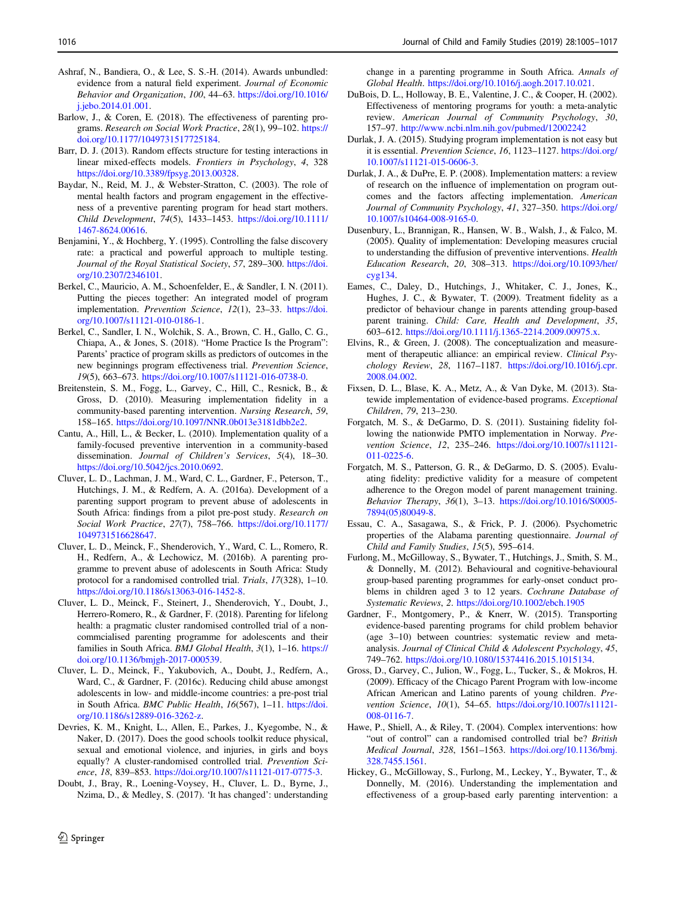- <span id="page-11-0"></span>Ashraf, N., Bandiera, O., & Lee, S. S.-H. (2014). Awards unbundled: evidence from a natural field experiment. Journal of Economic Behavior and Organization, 100, 44–63. [https://doi.org/10.1016/](https://doi.org/10.1016/j.jebo.2014.01.001) [j.jebo.2014.01.001](https://doi.org/10.1016/j.jebo.2014.01.001).
- Barlow, J., & Coren, E. (2018). The effectiveness of parenting programs. Research on Social Work Practice, 28(1), 99-102. [https://](https://doi.org/10.1177/1049731517725184) [doi.org/10.1177/1049731517725184.](https://doi.org/10.1177/1049731517725184)
- Barr, D. J. (2013). Random effects structure for testing interactions in linear mixed-effects models. Frontiers in Psychology, 4, 328 <https://doi.org/10.3389/fpsyg.2013.00328>.
- Baydar, N., Reid, M. J., & Webster-Stratton, C. (2003). The role of mental health factors and program engagement in the effectiveness of a preventive parenting program for head start mothers. Child Development, 74(5), 1433–1453. [https://doi.org/10.1111/](https://doi.org/10.1111/1467-8624.00616) [1467-8624.00616.](https://doi.org/10.1111/1467-8624.00616)
- Benjamini, Y., & Hochberg, Y. (1995). Controlling the false discovery rate: a practical and powerful approach to multiple testing. Journal of the Royal Statistical Society, 57, 289–300. [https://doi.](https://doi.org/10.2307/2346101) [org/10.2307/2346101.](https://doi.org/10.2307/2346101)
- Berkel, C., Mauricio, A. M., Schoenfelder, E., & Sandler, I. N. (2011). Putting the pieces together: An integrated model of program implementation. Prevention Science, 12(1), 23–33. [https://doi.](https://doi.org/10.1007/s11121-010-0186-1) [org/10.1007/s11121-010-0186-1.](https://doi.org/10.1007/s11121-010-0186-1)
- Berkel, C., Sandler, I. N., Wolchik, S. A., Brown, C. H., Gallo, C. G., Chiapa, A., & Jones, S. (2018). "Home Practice Is the Program": Parents' practice of program skills as predictors of outcomes in the new beginnings program effectiveness trial. Prevention Science, 19(5), 663–673. <https://doi.org/10.1007/s11121-016-0738-0>.
- Breitenstein, S. M., Fogg, L., Garvey, C., Hill, C., Resnick, B., & Gross, D. (2010). Measuring implementation fidelity in a community-based parenting intervention. Nursing Research, 59, 158–165. [https://doi.org/10.1097/NNR.0b013e3181dbb2e2.](https://doi.org/10.1097/NNR.0b013e3181dbb2e2)
- Cantu, A., Hill, L., & Becker, L. (2010). Implementation quality of a family-focused preventive intervention in a community-based dissemination. Journal of Children's Services, 5(4), 18–30. [https://doi.org/10.5042/jcs.2010.0692.](https://doi.org/10.5042/jcs.2010.0692)
- Cluver, L. D., Lachman, J. M., Ward, C. L., Gardner, F., Peterson, T., Hutchings, J. M., & Redfern, A. A. (2016a). Development of a parenting support program to prevent abuse of adolescents in South Africa: findings from a pilot pre-post study. Research on Social Work Practice, 27(7), 758–766. [https://doi.org/10.1177/](https://doi.org/10.1177/1049731516628647) [1049731516628647.](https://doi.org/10.1177/1049731516628647)
- Cluver, L. D., Meinck, F., Shenderovich, Y., Ward, C. L., Romero, R. H., Redfern, A., & Lechowicz, M. (2016b). A parenting programme to prevent abuse of adolescents in South Africa: Study protocol for a randomised controlled trial. Trials, 17(328), 1–10. [https://doi.org/10.1186/s13063-016-1452-8.](https://doi.org/10.1186/s13063-016-1452-8)
- Cluver, L. D., Meinck, F., Steinert, J., Shenderovich, Y., Doubt, J., Herrero-Romero, R., & Gardner, F. (2018). Parenting for lifelong health: a pragmatic cluster randomised controlled trial of a noncommcialised parenting programme for adolescents and their families in South Africa. BMJ Global Health, 3(1), 1-16. [https://](https://doi.org/10.1136/bmjgh-2017-000539) [doi.org/10.1136/bmjgh-2017-000539.](https://doi.org/10.1136/bmjgh-2017-000539)
- Cluver, L. D., Meinck, F., Yakubovich, A., Doubt, J., Redfern, A., Ward, C., & Gardner, F. (2016c). Reducing child abuse amongst adolescents in low- and middle-income countries: a pre-post trial in South Africa. BMC Public Health, 16(567), 1–11. [https://doi.](https://doi.org/10.1186/s12889-016-3262-z) [org/10.1186/s12889-016-3262-z](https://doi.org/10.1186/s12889-016-3262-z).
- Devries, K. M., Knight, L., Allen, E., Parkes, J., Kyegombe, N., & Naker, D. (2017). Does the good schools toolkit reduce physical, sexual and emotional violence, and injuries, in girls and boys equally? A cluster-randomised controlled trial. Prevention Science, 18, 839–853. <https://doi.org/10.1007/s11121-017-0775-3>.
- Doubt, J., Bray, R., Loening-Voysey, H., Cluver, L. D., Byrne, J., Nzima, D., & Medley, S. (2017). 'It has changed': understanding

change in a parenting programme in South Africa. Annals of Global Health. [https://doi.org/10.1016/j.aogh.2017.10.021.](https://doi.org/10.1016/j.aogh.2017.10.021)

- DuBois, D. L., Holloway, B. E., Valentine, J. C., & Cooper, H. (2002). Effectiveness of mentoring programs for youth: a meta-analytic review. American Journal of Community Psychology, 30, 157–97. <http://www.ncbi.nlm.nih.gov/pubmed/12002242>
- Durlak, J. A. (2015). Studying program implementation is not easy but it is essential. Prevention Science, 16, 1123–1127. [https://doi.org/](https://doi.org/10.1007/s11121-015-0606-3) [10.1007/s11121-015-0606-3](https://doi.org/10.1007/s11121-015-0606-3).
- Durlak, J. A., & DuPre, E. P. (2008). Implementation matters: a review of research on the influence of implementation on program outcomes and the factors affecting implementation. American Journal of Community Psychology, 41, 327–350. [https://doi.org/](https://doi.org/10.1007/s10464-008-9165-0) [10.1007/s10464-008-9165-0](https://doi.org/10.1007/s10464-008-9165-0).
- Dusenbury, L., Brannigan, R., Hansen, W. B., Walsh, J., & Falco, M. (2005). Quality of implementation: Developing measures crucial to understanding the diffusion of preventive interventions. Health Education Research, 20, 308–313. [https://doi.org/10.1093/her/](https://doi.org/10.1093/her/cyg134) [cyg134](https://doi.org/10.1093/her/cyg134).
- Eames, C., Daley, D., Hutchings, J., Whitaker, C. J., Jones, K., Hughes, J. C., & Bywater, T. (2009). Treatment fidelity as a predictor of behaviour change in parents attending group-based parent training. Child: Care, Health and Development, 35, 603–612. [https://doi.org/10.1111/j.1365-2214.2009.00975.x.](https://doi.org/10.1111/j.1365-2214.2009.00975.x)
- Elvins, R., & Green, J. (2008). The conceptualization and measurement of therapeutic alliance: an empirical review. Clinical Psychology Review, 28, 1167–1187. [https://doi.org/10.1016/j.cpr.](https://doi.org/10.1016/j.cpr.2008.04.002) [2008.04.002](https://doi.org/10.1016/j.cpr.2008.04.002).
- Fixsen, D. L., Blase, K. A., Metz, A., & Van Dyke, M. (2013). Statewide implementation of evidence-based programs. Exceptional Children, 79, 213–230.
- Forgatch, M. S., & DeGarmo, D. S. (2011). Sustaining fidelity following the nationwide PMTO implementation in Norway. Prevention Science, 12, 235–246. [https://doi.org/10.1007/s11121-](https://doi.org/10.1007/s11121-011-0225-6) [011-0225-6](https://doi.org/10.1007/s11121-011-0225-6).
- Forgatch, M. S., Patterson, G. R., & DeGarmo, D. S. (2005). Evaluating fidelity: predictive validity for a measure of competent adherence to the Oregon model of parent management training. Behavior Therapy, 36(1), 3–13. [https://doi.org/10.1016/S0005-](https://doi.org/10.1016/S0005-7894(05)80049-8) [7894\(05\)80049-8](https://doi.org/10.1016/S0005-7894(05)80049-8).
- Essau, C. A., Sasagawa, S., & Frick, P. J. (2006). Psychometric properties of the Alabama parenting questionnaire. Journal of Child and Family Studies, 15(5), 595–614.
- Furlong, M., McGilloway, S., Bywater, T., Hutchings, J., Smith, S. M., & Donnelly, M. (2012). Behavioural and cognitive-behavioural group-based parenting programmes for early-onset conduct problems in children aged 3 to 12 years. Cochrane Database of Systematic Reviews, 2. <https://doi.org/10.1002/ebch.1905>
- Gardner, F., Montgomery, P., & Knerr, W. (2015). Transporting evidence-based parenting programs for child problem behavior (age 3–10) between countries: systematic review and metaanalysis. Journal of Clinical Child & Adolescent Psychology, 45, 749–762. [https://doi.org/10.1080/15374416.2015.1015134.](https://doi.org/10.1080/15374416.2015.1015134)
- Gross, D., Garvey, C., Julion, W., Fogg, L., Tucker, S., & Mokros, H. (2009). Efficacy of the Chicago Parent Program with low-income African American and Latino parents of young children. Prevention Science, 10(1), 54–65. [https://doi.org/10.1007/s11121-](https://doi.org/10.1007/s11121-008-0116-7) [008-0116-7](https://doi.org/10.1007/s11121-008-0116-7).
- Hawe, P., Shiell, A., & Riley, T. (2004). Complex interventions: how "out of control" can a randomised controlled trial be? British Medical Journal, 328, 1561–1563. [https://doi.org/10.1136/bmj.](https://doi.org/10.1136/bmj.328.7455.1561) [328.7455.1561.](https://doi.org/10.1136/bmj.328.7455.1561)
- Hickey, G., McGilloway, S., Furlong, M., Leckey, Y., Bywater, T., & Donnelly, M. (2016). Understanding the implementation and effectiveness of a group-based early parenting intervention: a